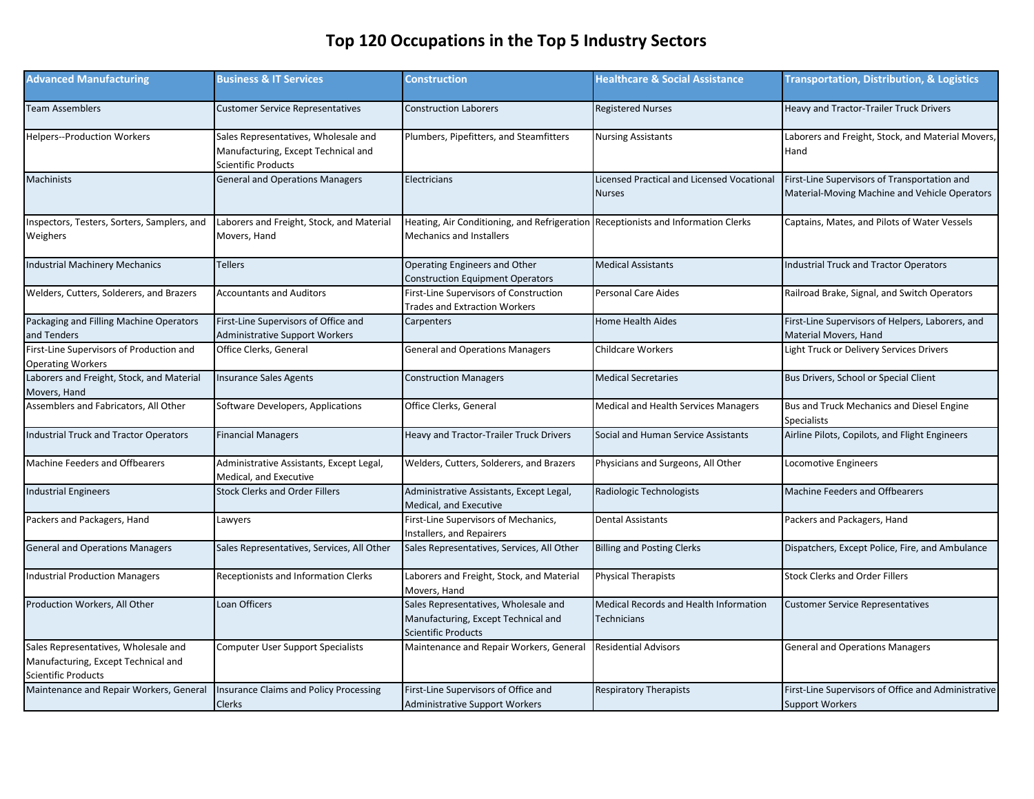| <b>Advanced Manufacturing</b>                                                                             | <b>Business &amp; IT Services</b>                                                                  | Construction                                                                                                  | <b>Healthcare &amp; Social Assistance</b>                    | <b>Transportation, Distribution, &amp; Logistics</b>                                          |
|-----------------------------------------------------------------------------------------------------------|----------------------------------------------------------------------------------------------------|---------------------------------------------------------------------------------------------------------------|--------------------------------------------------------------|-----------------------------------------------------------------------------------------------|
| <b>Team Assemblers</b>                                                                                    | <b>Customer Service Representatives</b>                                                            | <b>Construction Laborers</b>                                                                                  | <b>Registered Nurses</b>                                     | Heavy and Tractor-Trailer Truck Drivers                                                       |
| <b>Helpers--Production Workers</b>                                                                        | Sales Representatives, Wholesale and<br>Manufacturing, Except Technical and<br>Scientific Products | Plumbers, Pipefitters, and Steamfitters                                                                       | <b>Nursing Assistants</b>                                    | Laborers and Freight, Stock, and Material Movers,<br>Hand                                     |
| Machinists                                                                                                | <b>General and Operations Managers</b>                                                             | Electricians                                                                                                  | Licensed Practical and Licensed Vocational<br><b>Nurses</b>  | First-Line Supervisors of Transportation and<br>Material-Moving Machine and Vehicle Operators |
| Inspectors, Testers, Sorters, Samplers, and<br>Weighers                                                   | Laborers and Freight, Stock, and Material<br>Movers, Hand                                          | Heating, Air Conditioning, and Refrigeration Receptionists and Information Clerks<br>Mechanics and Installers |                                                              | Captains, Mates, and Pilots of Water Vessels                                                  |
| <b>Industrial Machinery Mechanics</b>                                                                     | <b>Tellers</b>                                                                                     | Operating Engineers and Other<br><b>Construction Equipment Operators</b>                                      | <b>Medical Assistants</b>                                    | Industrial Truck and Tractor Operators                                                        |
| Welders, Cutters, Solderers, and Brazers                                                                  | <b>Accountants and Auditors</b>                                                                    | First-Line Supervisors of Construction<br><b>Trades and Extraction Workers</b>                                | Personal Care Aides                                          | Railroad Brake, Signal, and Switch Operators                                                  |
| Packaging and Filling Machine Operators<br>and Tenders                                                    | First-Line Supervisors of Office and<br>Administrative Support Workers                             | Carpenters                                                                                                    | <b>Home Health Aides</b>                                     | First-Line Supervisors of Helpers, Laborers, and<br>Material Movers, Hand                     |
| First-Line Supervisors of Production and<br><b>Operating Workers</b>                                      | Office Clerks, General                                                                             | <b>General and Operations Managers</b>                                                                        | <b>Childcare Workers</b>                                     | Light Truck or Delivery Services Drivers                                                      |
| Laborers and Freight, Stock, and Material<br>Movers, Hand                                                 | <b>Insurance Sales Agents</b>                                                                      | <b>Construction Managers</b>                                                                                  | <b>Medical Secretaries</b>                                   | Bus Drivers, School or Special Client                                                         |
| Assemblers and Fabricators, All Other                                                                     | Software Developers, Applications                                                                  | Office Clerks, General                                                                                        | Medical and Health Services Managers                         | Bus and Truck Mechanics and Diesel Engine<br><b>Specialists</b>                               |
| <b>Industrial Truck and Tractor Operators</b>                                                             | <b>Financial Managers</b>                                                                          | Heavy and Tractor-Trailer Truck Drivers                                                                       | Social and Human Service Assistants                          | Airline Pilots, Copilots, and Flight Engineers                                                |
| <b>Machine Feeders and Offbearers</b>                                                                     | Administrative Assistants, Except Legal,<br>Medical, and Executive                                 | Welders, Cutters, Solderers, and Brazers                                                                      | Physicians and Surgeons, All Other                           | Locomotive Engineers                                                                          |
| <b>Industrial Engineers</b>                                                                               | <b>Stock Clerks and Order Fillers</b>                                                              | Administrative Assistants, Except Legal,<br>Medical, and Executive                                            | Radiologic Technologists                                     | <b>Machine Feeders and Offbearers</b>                                                         |
| Packers and Packagers, Hand                                                                               | Lawyers                                                                                            | First-Line Supervisors of Mechanics,<br>Installers, and Repairers                                             | <b>Dental Assistants</b>                                     | Packers and Packagers, Hand                                                                   |
| <b>General and Operations Managers</b>                                                                    | Sales Representatives, Services, All Other                                                         | Sales Representatives, Services, All Other                                                                    | <b>Billing and Posting Clerks</b>                            | Dispatchers, Except Police, Fire, and Ambulance                                               |
| <b>Industrial Production Managers</b>                                                                     | Receptionists and Information Clerks                                                               | Laborers and Freight, Stock, and Material<br>Movers, Hand                                                     | <b>Physical Therapists</b>                                   | <b>Stock Clerks and Order Fillers</b>                                                         |
| Production Workers, All Other                                                                             | Loan Officers                                                                                      | Sales Representatives, Wholesale and<br>Manufacturing, Except Technical and<br><b>Scientific Products</b>     | Medical Records and Health Information<br><b>Technicians</b> | <b>Customer Service Representatives</b>                                                       |
| Sales Representatives, Wholesale and<br>Manufacturing, Except Technical and<br><b>Scientific Products</b> | <b>Computer User Support Specialists</b>                                                           | Maintenance and Repair Workers, General                                                                       | <b>Residential Advisors</b>                                  | <b>General and Operations Managers</b>                                                        |
| Maintenance and Repair Workers, General                                                                   | <b>Insurance Claims and Policy Processing</b><br>Clerks                                            | First-Line Supervisors of Office and<br><b>Administrative Support Workers</b>                                 | <b>Respiratory Therapists</b>                                | First-Line Supervisors of Office and Administrative<br><b>Support Workers</b>                 |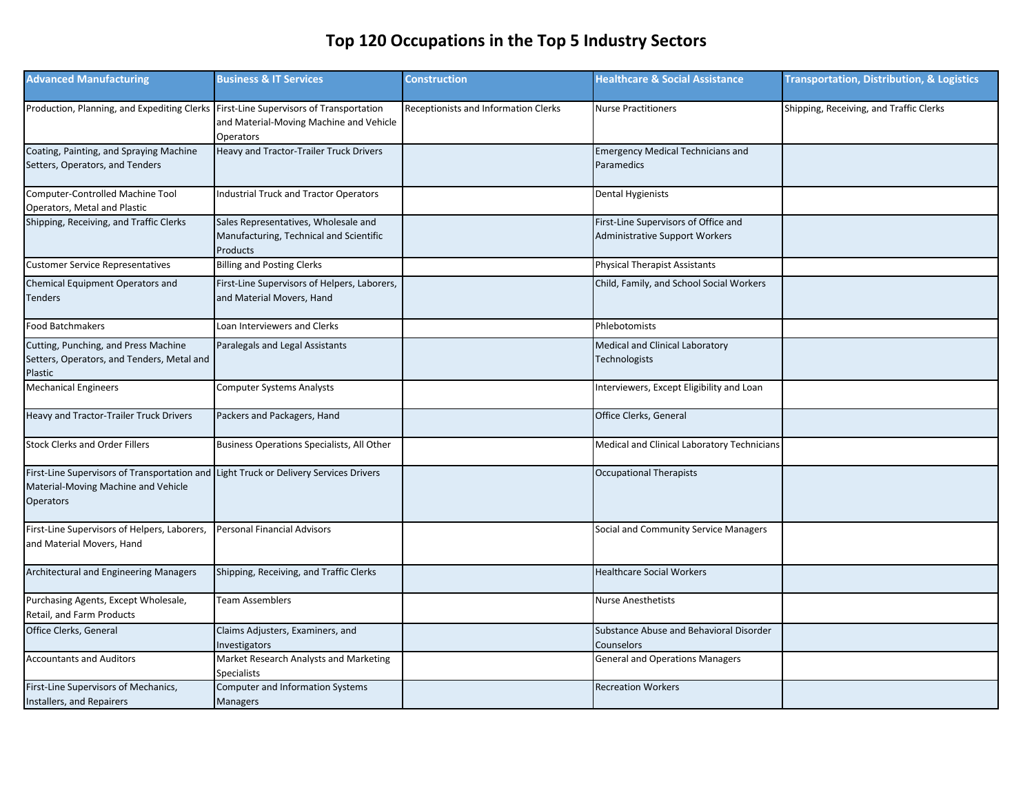| <b>Advanced Manufacturing</b>                                                                    | <b>Business &amp; IT Services</b>                                                                | <b>Construction</b>                  | <b>Healthcare &amp; Social Assistance</b>                                     | <b>Transportation, Distribution, &amp; Logistics</b> |
|--------------------------------------------------------------------------------------------------|--------------------------------------------------------------------------------------------------|--------------------------------------|-------------------------------------------------------------------------------|------------------------------------------------------|
| Production, Planning, and Expediting Clerks                                                      | First-Line Supervisors of Transportation<br>and Material-Moving Machine and Vehicle<br>Operators | Receptionists and Information Clerks | <b>Nurse Practitioners</b>                                                    | Shipping, Receiving, and Traffic Clerks              |
| Coating, Painting, and Spraying Machine<br>Setters, Operators, and Tenders                       | Heavy and Tractor-Trailer Truck Drivers                                                          |                                      | <b>Emergency Medical Technicians and</b><br>Paramedics                        |                                                      |
| Computer-Controlled Machine Tool<br>Operators, Metal and Plastic                                 | Industrial Truck and Tractor Operators                                                           |                                      | <b>Dental Hygienists</b>                                                      |                                                      |
| Shipping, Receiving, and Traffic Clerks                                                          | Sales Representatives, Wholesale and<br>Manufacturing, Technical and Scientific<br>Products      |                                      | First-Line Supervisors of Office and<br><b>Administrative Support Workers</b> |                                                      |
| <b>Customer Service Representatives</b>                                                          | <b>Billing and Posting Clerks</b>                                                                |                                      | <b>Physical Therapist Assistants</b>                                          |                                                      |
| Chemical Equipment Operators and<br><b>Tenders</b>                                               | First-Line Supervisors of Helpers, Laborers,<br>and Material Movers, Hand                        |                                      | Child, Family, and School Social Workers                                      |                                                      |
| <b>Food Batchmakers</b>                                                                          | Loan Interviewers and Clerks                                                                     |                                      | Phlebotomists                                                                 |                                                      |
| Cutting, Punching, and Press Machine<br>Setters, Operators, and Tenders, Metal and<br>Plastic    | Paralegals and Legal Assistants                                                                  |                                      | Medical and Clinical Laboratory<br><b>Technologists</b>                       |                                                      |
| <b>Mechanical Engineers</b>                                                                      | <b>Computer Systems Analysts</b>                                                                 |                                      | Interviewers, Except Eligibility and Loan                                     |                                                      |
| Heavy and Tractor-Trailer Truck Drivers                                                          | Packers and Packagers, Hand                                                                      |                                      | Office Clerks, General                                                        |                                                      |
| <b>Stock Clerks and Order Fillers</b>                                                            | Business Operations Specialists, All Other                                                       |                                      | Medical and Clinical Laboratory Technicians                                   |                                                      |
| First-Line Supervisors of Transportation and<br>Material-Moving Machine and Vehicle<br>Operators | Light Truck or Delivery Services Drivers                                                         |                                      | <b>Occupational Therapists</b>                                                |                                                      |
| First-Line Supervisors of Helpers, Laborers,<br>and Material Movers, Hand                        | <b>Personal Financial Advisors</b>                                                               |                                      | Social and Community Service Managers                                         |                                                      |
| Architectural and Engineering Managers                                                           | Shipping, Receiving, and Traffic Clerks                                                          |                                      | <b>Healthcare Social Workers</b>                                              |                                                      |
| Purchasing Agents, Except Wholesale,<br>Retail, and Farm Products                                | Team Assemblers                                                                                  |                                      | <b>Nurse Anesthetists</b>                                                     |                                                      |
| Office Clerks, General                                                                           | Claims Adjusters, Examiners, and<br>nvestigators                                                 |                                      | Substance Abuse and Behavioral Disorder<br>Counselors                         |                                                      |
| <b>Accountants and Auditors</b>                                                                  | Market Research Analysts and Marketing<br><b>Specialists</b>                                     |                                      | <b>General and Operations Managers</b>                                        |                                                      |
| First-Line Supervisors of Mechanics,<br>Installers, and Repairers                                | <b>Computer and Information Systems</b><br><b>Managers</b>                                       |                                      | <b>Recreation Workers</b>                                                     |                                                      |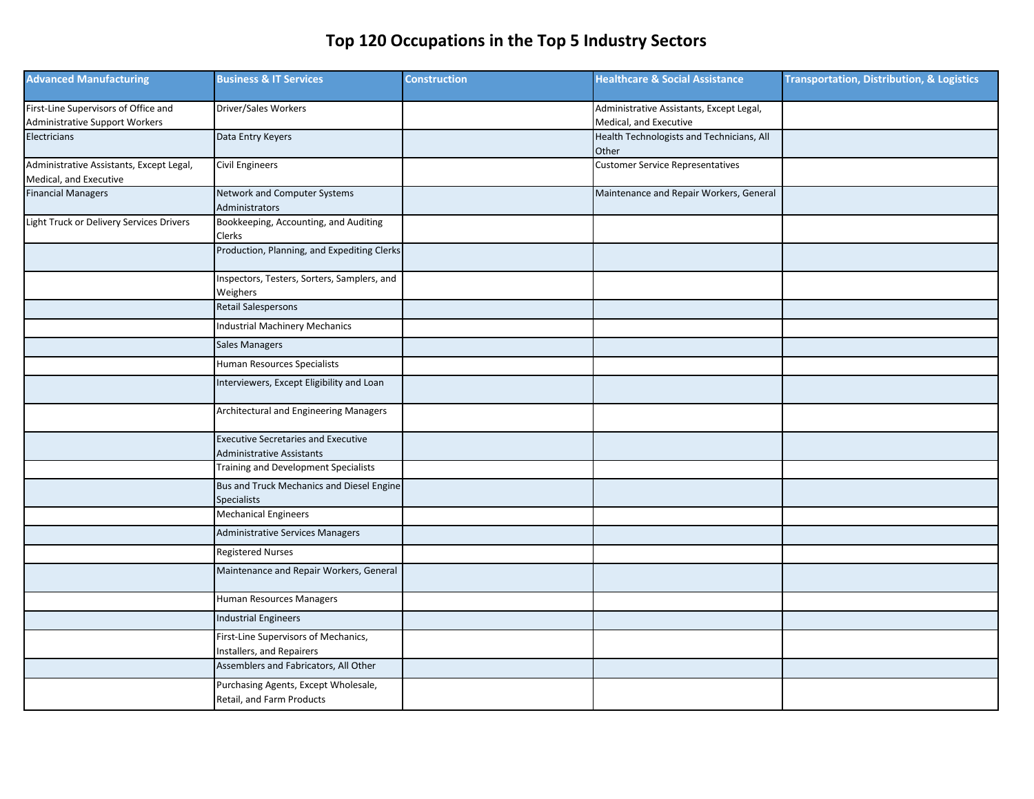| <b>Advanced Manufacturing</b>                                          | <b>Business &amp; IT Services</b>                                              | <b>Construction</b> | <b>Healthcare &amp; Social Assistance</b>                          | <b>Transportation, Distribution, &amp; Logistics</b> |
|------------------------------------------------------------------------|--------------------------------------------------------------------------------|---------------------|--------------------------------------------------------------------|------------------------------------------------------|
| First-Line Supervisors of Office and<br>Administrative Support Workers | Driver/Sales Workers                                                           |                     | Administrative Assistants, Except Legal,<br>Medical, and Executive |                                                      |
| Electricians                                                           | Data Entry Keyers                                                              |                     | Health Technologists and Technicians, All<br>Other                 |                                                      |
| Administrative Assistants, Except Legal,<br>Medical, and Executive     | <b>Civil Engineers</b>                                                         |                     | <b>Customer Service Representatives</b>                            |                                                      |
| <b>Financial Managers</b>                                              | Network and Computer Systems<br>Administrators                                 |                     | Maintenance and Repair Workers, General                            |                                                      |
| Light Truck or Delivery Services Drivers                               | Bookkeeping, Accounting, and Auditing<br>Clerks                                |                     |                                                                    |                                                      |
|                                                                        | Production, Planning, and Expediting Clerks                                    |                     |                                                                    |                                                      |
|                                                                        | Inspectors, Testers, Sorters, Samplers, and<br>Weighers                        |                     |                                                                    |                                                      |
|                                                                        | <b>Retail Salespersons</b>                                                     |                     |                                                                    |                                                      |
|                                                                        | <b>Industrial Machinery Mechanics</b>                                          |                     |                                                                    |                                                      |
|                                                                        | <b>Sales Managers</b>                                                          |                     |                                                                    |                                                      |
|                                                                        | Human Resources Specialists                                                    |                     |                                                                    |                                                      |
|                                                                        | Interviewers, Except Eligibility and Loan                                      |                     |                                                                    |                                                      |
|                                                                        | Architectural and Engineering Managers                                         |                     |                                                                    |                                                      |
|                                                                        | <b>Executive Secretaries and Executive</b><br><b>Administrative Assistants</b> |                     |                                                                    |                                                      |
|                                                                        | Training and Development Specialists                                           |                     |                                                                    |                                                      |
|                                                                        | Bus and Truck Mechanics and Diesel Engine<br><b>Specialists</b>                |                     |                                                                    |                                                      |
|                                                                        | <b>Mechanical Engineers</b>                                                    |                     |                                                                    |                                                      |
|                                                                        | <b>Administrative Services Managers</b>                                        |                     |                                                                    |                                                      |
|                                                                        | <b>Registered Nurses</b>                                                       |                     |                                                                    |                                                      |
|                                                                        | Maintenance and Repair Workers, General                                        |                     |                                                                    |                                                      |
|                                                                        | Human Resources Managers                                                       |                     |                                                                    |                                                      |
|                                                                        | <b>Industrial Engineers</b>                                                    |                     |                                                                    |                                                      |
|                                                                        | First-Line Supervisors of Mechanics,<br>Installers, and Repairers              |                     |                                                                    |                                                      |
|                                                                        | Assemblers and Fabricators, All Other                                          |                     |                                                                    |                                                      |
|                                                                        | Purchasing Agents, Except Wholesale,<br>Retail, and Farm Products              |                     |                                                                    |                                                      |